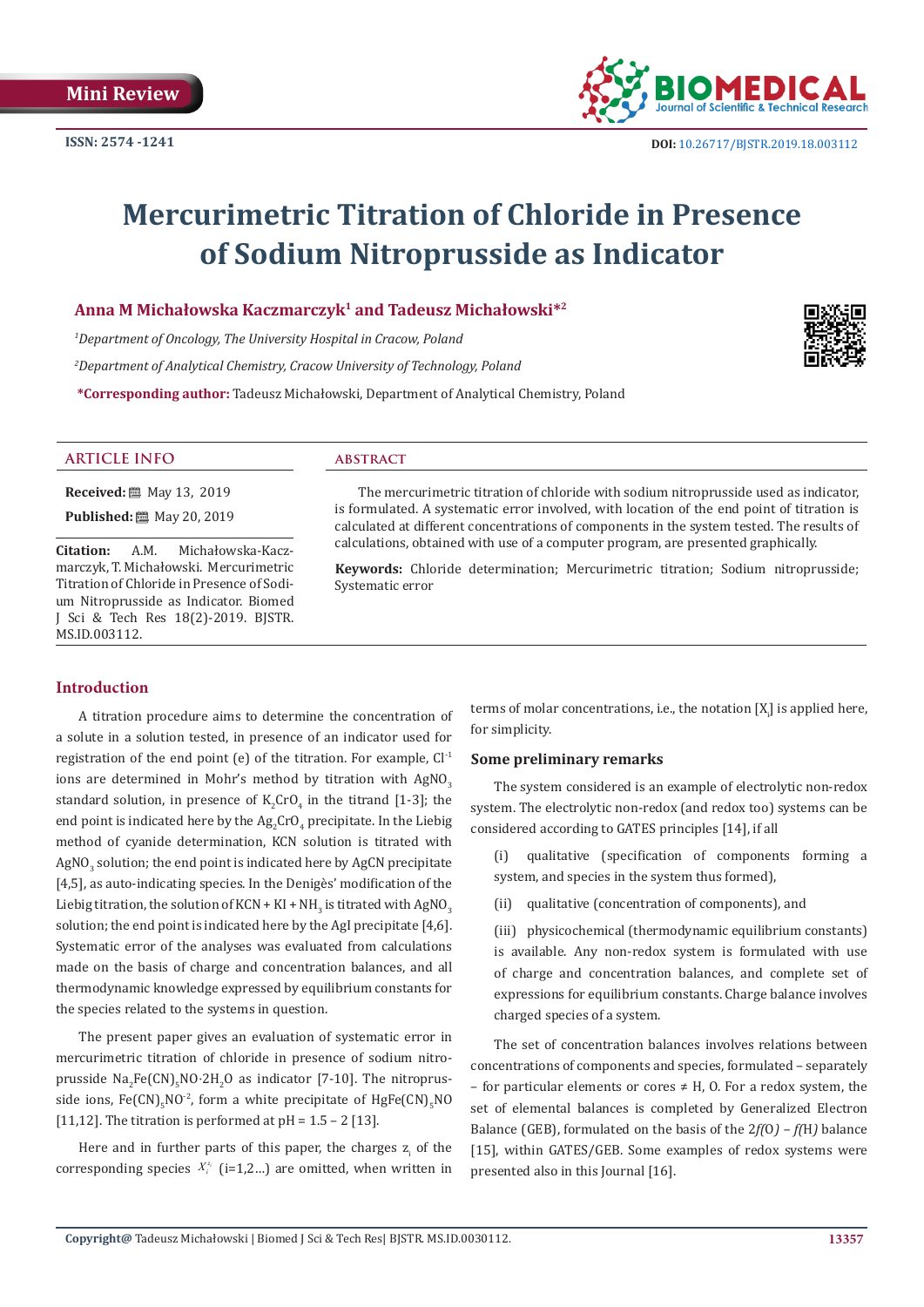

# **Mercurimetric Titration of Chloride in Presence of Sodium Nitroprusside as Indicator**

### **Anna M Michałowska Kaczmarczyk<sup>1</sup> and Tadeusz Michałowski\*<sup>2</sup>**

*1 Department of Oncology, The University Hospital in Cracow, Poland* 

*2 Department of Analytical Chemistry, Cracow University of Technology, Poland*

**\*Corresponding author:** Tadeusz Michałowski, Department of Analytical Chemistry, Poland



#### **ARTICLE INFO abstract**

**Received:** 圖 May 13, 2019

**Published:** 圖 May 20, 2019

**Citation:** A.M. Michałowska-Kaczmarczyk, T. Michałowski. Mercurimetric Titration of Chloride in Presence of Sodium Nitroprusside as Indicator. Biomed J Sci & Tech Res 18(2)-2019. BJSTR. MS.ID.003112.

The mercurimetric titration of chloride with sodium nitroprusside used as indicator, is formulated. A systematic error involved, with location of the end point of titration is calculated at different concentrations of components in the system tested. The results of calculations, obtained with use of a computer program, are presented graphically.

**Keywords:** Chloride determination; Mercurimetric titration; Sodium nitroprusside; Systematic error

#### **Introduction**

A titration procedure aims to determine the concentration of a solute in a solution tested, in presence of an indicator used for registration of the end point (e) of the titration. For example,  $Cl<sup>-1</sup>$ ions are determined in Mohr's method by titration with  $AgNO<sub>3</sub>$ standard solution, in presence of  $K_2$ CrO<sub>4</sub> in the titrand [1-3]; the end point is indicated here by the  $\text{Ag}_{2}\text{CrO}_{4}$  precipitate. In the Liebig method of cyanide determination, KCN solution is titrated with  $\overline{\rm AgNO}_{\rm 3}$  solution; the end point is indicated here by  $\overline{\rm AgCN}$  precipitate [4,5], as auto-indicating species. In the Denigès' modification of the Liebig titration, the solution of KCN + KI + NH<sub>3</sub> is titrated with AgNO<sub>3</sub> solution; the end point is indicated here by the AgI precipitate [4,6]. Systematic error of the analyses was evaluated from calculations made on the basis of charge and concentration balances, and all thermodynamic knowledge expressed by equilibrium constants for the species related to the systems in question.

The present paper gives an evaluation of systematic error in mercurimetric titration of chloride in presence of sodium nitroprusside  $\text{Na}_2\text{Fe}(\text{CN})_5\text{NO·}2\text{H}_2\text{O}$  as indicator [7-10]. The nitroprusside ions,  $Fe(CN)_{5}NO^{-2}$ , form a white precipitate of  $HgFe(CN)_{5}NO$ [11,12]. The titration is performed at  $pH = 1.5 - 2$  [13].

Here and in further parts of this paper, the charges  $z_i$  of the corresponding species  $X_i^{z_i}$  (i=1,2...) are omitted, when written in

terms of molar concentrations, i.e., the notation  $[X_{\mu}]$  is applied here, for simplicity.

#### **Some preliminary remarks**

The system considered is an example of electrolytic non-redox system. The electrolytic non-redox (and redox too) systems can be considered according to GATES principles [14], if all

(i) qualitative (specification of components forming a system, and species in the system thus formed),

(ii) qualitative (concentration of components), and

(iii) physicochemical (thermodynamic equilibrium constants) is available. Any non-redox system is formulated with use of charge and concentration balances, and complete set of expressions for equilibrium constants. Charge balance involves charged species of a system.

The set of concentration balances involves relations between concentrations of components and species, formulated – separately – for particular elements or cores  $\neq$  H, O. For a redox system, the set of elemental balances is completed by Generalized Electron Balance (GEB), formulated on the basis of the 2*f(*O*) – f(*H*)* balance [15], within GATES/GEB. Some examples of redox systems were presented also in this Journal [16].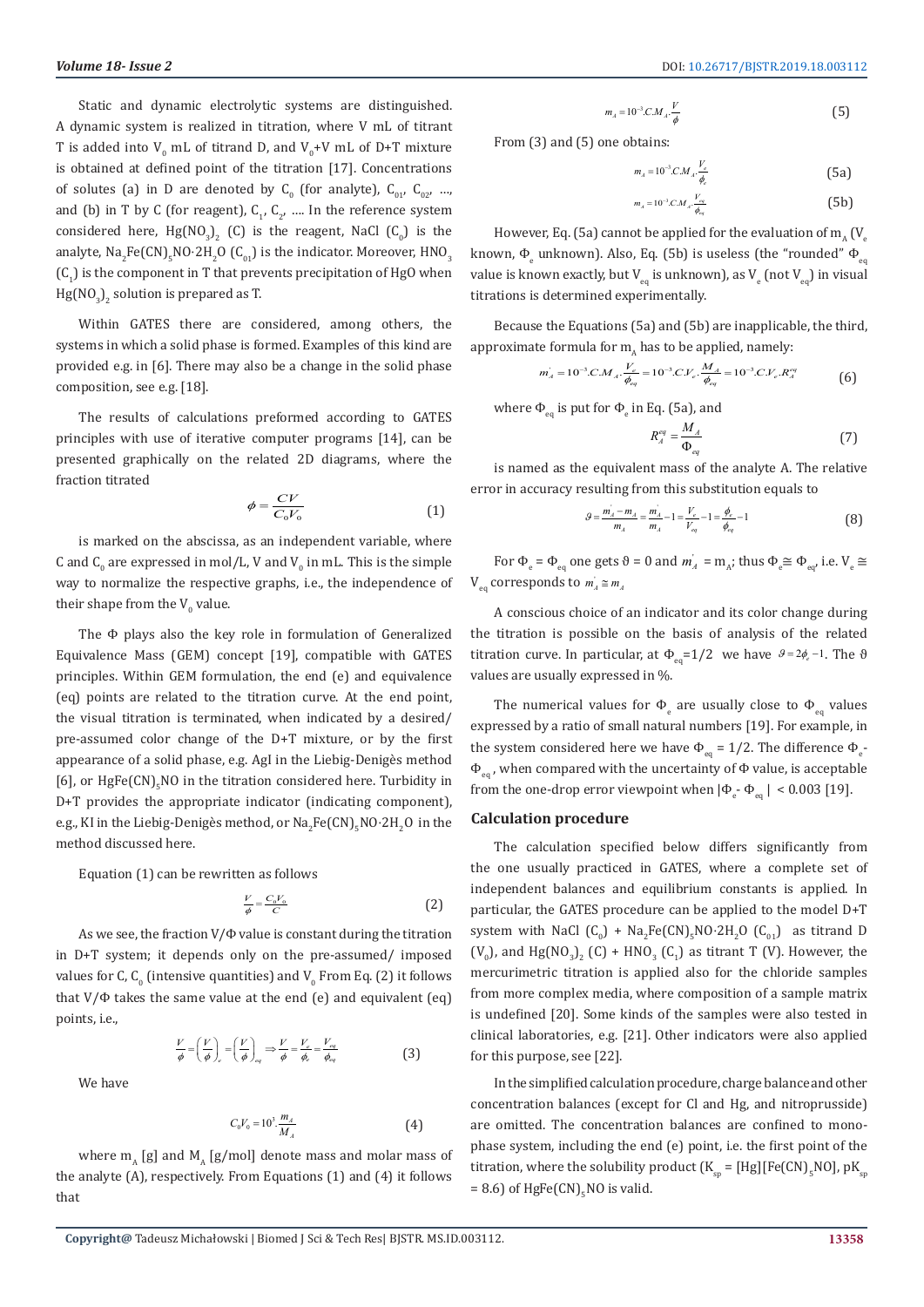Static and dynamic electrolytic systems are distinguished. A dynamic system is realized in titration, where V mL of titrant T is added into  $V_0$  mL of titrand D, and  $V_0+V$  mL of D+T mixture is obtained at defined point of the titration [17]. Concentrations of solutes (a) in D are denoted by  $C_0$  (for analyte),  $C_{01}$ ,  $C_{02}$ , ..., and (b) in T by C (for reagent),  $C_1, C_2, ...$  In the reference system considered here,  $Hg[NO_3]_2$  (C) is the reagent, NaCl (C<sub>0</sub>) is the analyte, Na<sub>2</sub>Fe(CN)<sub>5</sub>NO·2H<sub>2</sub>O (C<sub>01</sub>) is the indicator. Moreover, HNO<sub>3</sub>  $(C_1)$  is the component in T that prevents precipitation of HgO when  $Hg[{NO}_{3}]_{2}$  solution is prepared as T.

Within GATES there are considered, among others, the systems in which a solid phase is formed. Examples of this kind are provided e.g. in [6]. There may also be a change in the solid phase composition, see e.g. [18].

The results of calculations preformed according to GATES principles with use of iterative computer programs [14], can be presented graphically on the related 2D diagrams, where the fraction titrated

$$
\phi = \frac{CV}{C_0 V_0} \tag{1}
$$

is marked on the abscissa, as an independent variable, where C and  $C_0$  are expressed in mol/L, V and V<sub>0</sub> in mL. This is the simple way to normalize the respective graphs, i.e., the independence of their shape from the  $V_0$  value.

The Φ plays also the key role in formulation of Generalized Equivalence Mass (GEM) concept [19], compatible with GATES principles. Within GEM formulation, the end (e) and equivalence (eq) points are related to the titration curve. At the end point, the visual titration is terminated, when indicated by a desired/ pre-assumed color change of the D+T mixture, or by the first appearance of a solid phase, e.g. AgI in the Liebig-Denigès method  $[6]$ , or HgFe $(CN)_{5}$ NO in the titration considered here. Turbidity in D+T provides the appropriate indicator (indicating component), e.g., KI in the Liebig-Deniges method, or  $\text{Na}_2\text{Fe(CN)}_5\text{NO·}2\text{H}_2\text{O}$  in the method discussed here.

Equation (1) can be rewritten as follows

$$
\frac{V}{\phi} = \frac{C_0 V_0}{C} \tag{2}
$$

As we see, the fraction  $V/\Phi$  value is constant during the titration in D+T system; it depends only on the pre-assumed/ imposed values for C,  $\mathsf{C}_0$  (intensive quantities) and  $\mathsf{V}_0$  From Eq. (2) it follows that V/Φ takes the same value at the end (e) and equivalent (eq) points, i.e.

$$
\frac{V}{\phi} = \left(\frac{V}{\phi}\right)_e = \left(\frac{V}{\phi}\right)_{eq} \Rightarrow \frac{V}{\phi} = \frac{V_e}{\phi_e} = \frac{V_{eq}}{\phi_{eq}}
$$
(3)

We have

$$
C_0 V_0 = 10^3 \frac{m_A}{M_A}
$$
 (4)

where  $m_A$  [g] and  $M_A$  [g/mol] denote mass and molar mass of the analyte (A), respectively. From Equations (1) and (4) it follows that

$$
m_A = 10^{-3} C.M_A \cdot \frac{V}{\phi} \tag{5}
$$

From (3) and (5) one obtains:

$$
m_A = 10^{-3} C M_A \cdot \frac{V_e}{\phi_e} \tag{5a}
$$

$$
m_A = 10^{-3} C M_A \cdot \frac{V_{eq}}{\phi_{eq}} \tag{5b}
$$

However, Eq. (5a) cannot be applied for the evaluation of  $m_A$  (V<sub>e</sub> known,  $\Phi_{\scriptscriptstyle\rm e}$  unknown). Also, Eq. (5b) is useless (the "rounded"  $\Phi_{\scriptscriptstyle\rm eq}$ value is known exactly, but V  $_{\mathrm{eq}}$  is unknown), as V  $_{\mathrm{e}}$  (not V  $_{\mathrm{eq}}$ ) in visual titrations is determined experimentally.

Because the Equations (5a) and (5b) are inapplicable, the third, approximate formula for  $m<sub>A</sub>$  has to be applied, namely:

$$
m'_{A} = 10^{-3} C M_{A} \frac{V_{e}}{\phi_{eq}} = 10^{-3} C V_{e} \frac{M_{A}}{\phi_{eq}} = 10^{-3} C V_{e} R_{A}^{eq}
$$
 (6)

where  $\Phi_{\rm eq}$  is put for  $\Phi_{\rm e}$  in Eq. (5a), and

$$
R_A^{eq} = \frac{M_A}{\Phi_{eq}} \tag{7}
$$

is named as the equivalent mass of the analyte A. The relative error in accuracy resulting from this substitution equals to

$$
g = \frac{m_A - m_A}{m_A} = \frac{m_A}{m_A} - 1 = \frac{V_e}{V_{eq}} - 1 = \frac{\phi_e}{\phi_{eq}} - 1
$$
 (8)

For  $\Phi_e = \Phi_{eq}$  one gets  $\theta = 0$  and  $m_A = m_A$ ; thus  $\Phi_e \cong \Phi_{eq}$ , i.e.  $V_e \cong$  $V_{eq}$  corresponds to  $m_A \cong m_A$ 

A conscious choice of an indicator and its color change during the titration is possible on the basis of analysis of the related titration curve. In particular, at  $\Phi_{eq} = 1/2$  we have  $\theta = 2\phi_e - 1$ . The  $\theta$ values are usually expressed in %.

The numerical values for  $\Phi_{\rm e}$  are usually close to  $\Phi_{\rm eq}$  values expressed by a ratio of small natural numbers [19]. For example, in the system considered here we have  $\Phi_{\text{eq}} = 1/2$ . The difference  $\Phi_{\text{e}}$ - $\Phi_{eq}$ , when compared with the uncertainty of  $\Phi$  value, is acceptable from the one-drop error viewpoint when  $|\Phi_{\rm e}$ -  $\Phi_{\rm eq}| < 0.003$  [19].

#### **Calculation procedure**

The calculation specified below differs significantly from the one usually practiced in GATES, where a complete set of independent balances and equilibrium constants is applied. In particular, the GATES procedure can be applied to the model D+T system with NaCl  $(C_0)$  + Na<sub>2</sub>Fe(CN)<sub>5</sub>NO·2H<sub>2</sub>O  $(C_{01})$  as titrand D  $(V_0)$ , and Hg(NO<sub>3</sub>)<sub>2</sub> (C) + HNO<sub>3</sub> (C<sub>1</sub>) as titrant T (V). However, the mercurimetric titration is applied also for the chloride samples from more complex media, where composition of a sample matrix is undefined [20]. Some kinds of the samples were also tested in clinical laboratories, e.g. [21]. Other indicators were also applied for this purpose, see [22].

In the simplified calculation procedure, charge balance and other concentration balances (except for Cl and Hg, and nitroprusside) are omitted. The concentration balances are confined to monophase system, including the end (e) point, i.e. the first point of the titration, where the solubility product  $(K_{\textrm{sp}}=[\textrm{Hg}][\textrm{Fe(CN)}_{5}\textrm{NO}]$ , p $\rm K_{\textrm{sp}}$  $= 8.6$ ) of HgFe(CN)<sub>5</sub>NO is valid.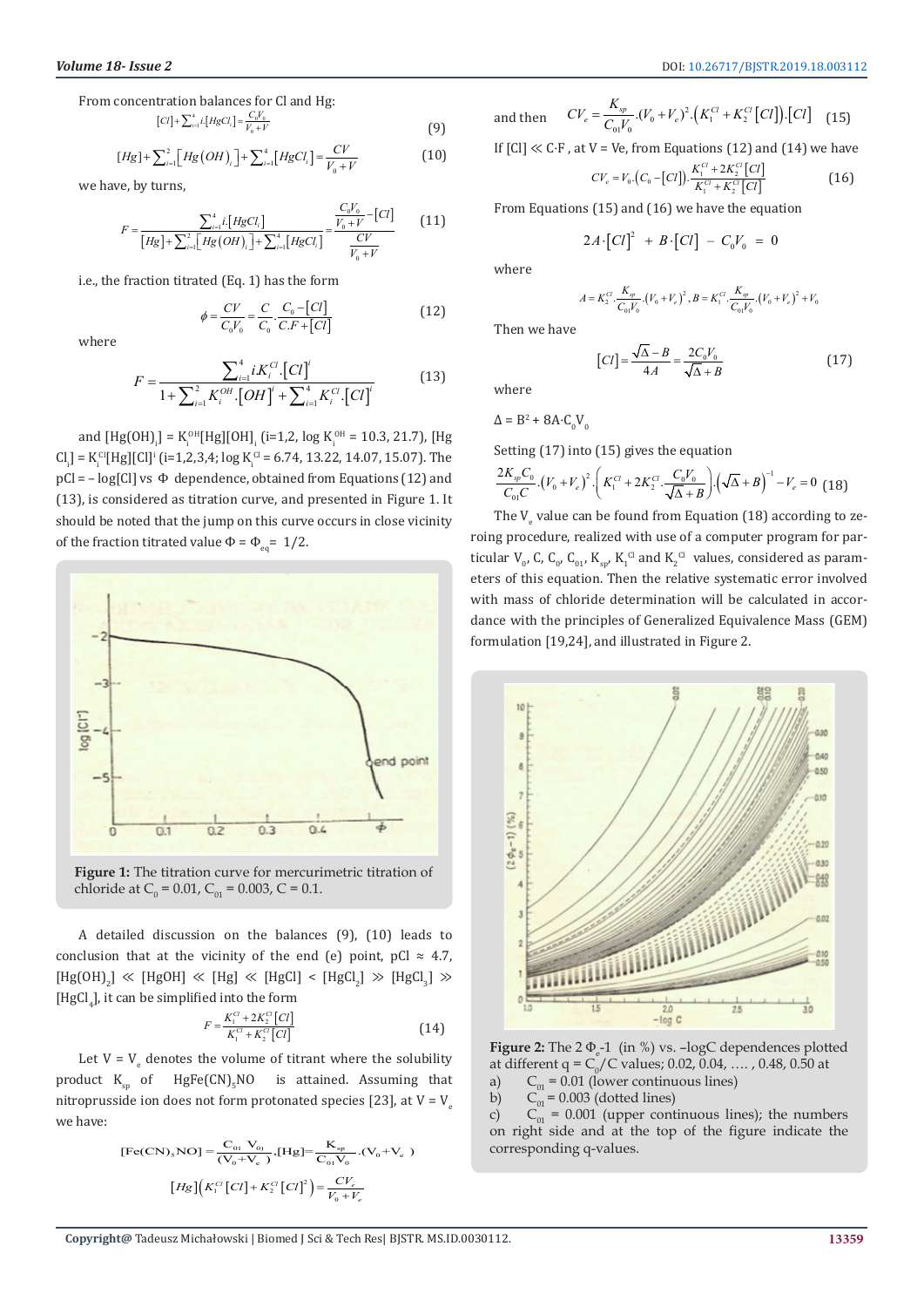From concentration balances for Cl and Hg:

$$
[CI] + \sum_{i=1}^{4} i [HgCl_i] = \frac{C_0 V_0}{V_0 + V}
$$
(9)

$$
[Hg] + \sum_{i=1}^{2} [Hg(OH)] + \sum_{i=1}^{4} [HgCl_i] = \frac{CV}{V_0 + V}
$$
(10)

we have, by turns,

$$
F = \frac{\sum_{i=1}^{4} i \left[ Hg C l_i \right]}{\left[ Hg \right] + \sum_{i=1}^{2} \left[ Hg (OH) \right] + \sum_{i=1}^{4} \left[ Hg C l_i \right]} = \frac{\frac{C_0 V_0}{V_0 + V} - [Cl]}{\frac{CV}{V_0 + V}}
$$
(11)

i.e., the fraction titrated (Eq. 1) has the form

$$
\phi = \frac{CV}{C_0 V_0} = \frac{C}{C_0} \cdot \frac{C_0 - [Cl]}{C.F + [Cl]} \tag{12}
$$

where

$$
F = \frac{\sum_{i=1}^{4} i K_i^{Cl} [Cl]^i}{1 + \sum_{i=1}^{2} K_i^{OH} [OH]^i + \sum_{i=1}^{4} K_i^{Cl} [Cl]^i}
$$
(13)

and  $[Hg(OH)] = K_i^{OH}[Hg][OH]_i$  (i=1,2, log  $K_i^{OH} = 10.3, 21.7$ ), [Hg  $CI_{i,j} = K_{i}^{CI}[Hg][CI]^{i}$  (i=1,2,3,4; log  $K_{i}^{CI} = 6.74$ , 13.22, 14.07, 15.07). The  $pCl = -log[Cl]$  vs  $\Phi$  dependence, obtained from Equations (12) and (13), is considered as titration curve, and presented in Figure 1. It should be noted that the jump on this curve occurs in close vicinity of the fraction titrated value  $\Phi = \Phi_{eq} = 1/2$ .



**Figure 1:** The titration curve for mercurimetric titration of chloride at  $C_0 = 0.01$ ,  $C_{01} = 0.003$ , C = 0.1.

A detailed discussion on the balances (9), (10) leads to conclusion that at the vicinity of the end (e) point, pCl  $\approx$  4.7,  $[Hg(OH)_2] \ll [HgOH] \ll [Hg] \ll [HgCl] \lt [HgCl_2] \gg [HgCl_3] \gg$  $[HgCl<sub>4</sub>]$ , it can be simplified into the form

$$
F = \frac{K_1^{Cl} + 2K_2^{Cl}[Cl]}{K_1^{Cl} + K_2^{Cl}[Cl]} \tag{14}
$$

Let  $V = V_e$  denotes the volume of titrant where the solubility product  $K_{\rm sp}$  of  $\rm HgFe(CN)_{5}NO$  is attained. Assuming that nitroprusside ion does not form protonated species [23], at  $V = V$ <sub>e</sub> we have:

[Fe(CN)<sub>s</sub>NO] = 
$$
\frac{C_{01} V_{0}}{(V_0 + V_e)}
$$
, [Hg]=  $\frac{K_{sp}}{C_{01} V_0}$ . (V<sub>0</sub>+V<sub>e</sub>)  
\n[Hg]  $(K_1^{Cl} [Cl] + K_2^{Cl} [Cl]^2) = \frac{CV_e}{V_0 + V_e}$ 

and then 
$$
CV_e = \frac{K_{sp}}{C_0 V_0} (V_0 + V_e)^2 \cdot (K_1^{Cl} + K_2^{Cl} [Cl]) \cdot [Cl]
$$
 (15)

If  $|C| \ll C \cdot F$ , at V = Ve, from Equations (12) and (14) we have

$$
CV_e = V_0 \cdot \left(C_0 - [CI]\right) \cdot \frac{K_1^{Cl} + 2K_2^{Cl}[CI]}{K_1^{Cl} + K_2^{Cl}[CI]}
$$
(16)

From Equations (15) and (16) we have the equation

$$
2A \cdot [CI]^2 + B \cdot [CI] - C_0 V_0 = 0
$$

where

$$
A = K_2^{Cl} \cdot \frac{K_{sp}}{C_{01}V_0} \cdot (V_0 + V_e)^2, B = K_1^{Cl} \cdot \frac{K_{sp}}{C_{01}V_0} \cdot (V_0 + V_e)^2 + V_0
$$

Then we have

$$
[Cl] = \frac{\sqrt{\Delta} - B}{4A} = \frac{2C_0V_0}{\sqrt{\Delta} + B}
$$
(17)

where

$$
\Delta = \mathrm{B}^2 + 8\mathrm{A} {\cdot} \mathrm{C}_0 \mathrm{V}_0
$$

Setting (17) into (15) gives the equation

$$
\frac{2K_{sp}C_0}{C_{01}C} \left(V_0 + V_e\right)^2 \cdot \left(K_1^{Cl} + 2K_2^{Cl} \cdot \frac{C_0V_0}{\sqrt{\Delta} + B}\right) \cdot \left(\sqrt{\Delta} + B\right)^{-1} - V_e = 0 \tag{18}
$$

The  $\mathsf{V}_{\mathrm{e}}$  value can be found from Equation (18) according to zeroing procedure, realized with use of a computer program for particular  $V_{0}$ , C, C<sub>0</sub>, C<sub>01</sub>, K<sub>sp</sub>, K<sub>1</sub><sup>C</sup> and K<sub>2</sub><sup>C</sup> values, considered as parameters of this equation. Then the relative systematic error involved with mass of chloride determination will be calculated in accordance with the principles of Generalized Equivalence Mass (GEM) formulation [19,24], and illustrated in Figure 2.



**Figure 2:** The  $2 \Phi_e 1$  (in %) vs.  $-\log C$  dependences plotted at different q =  $C_0/C$  values; 0.02, 0.04, ...., 0.48, 0.50 at

a)  $C_{01} = 0.01$  (lower continuous lines)<br>b)  $C_{01} = 0.003$  (dotted lines)  $\ddot{C}_{01} = 0.003$  (dotted lines)

c)  $C_{01}$  = 0.001 (upper continuous lines); the numbers on right side and at the top of the figure indicate the corresponding q-values.